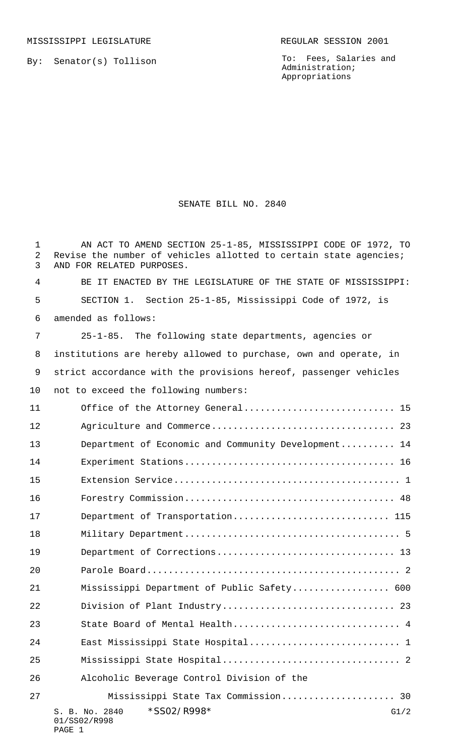MISSISSIPPI LEGISLATURE **REGULAR SESSION 2001** 

By: Senator(s) Tollison

To: Fees, Salaries and Administration; Appropriations

## SENATE BILL NO. 2840

S. B. No. 2840 \* SSO2/R998\* G1/2 01/SS02/R998 PAGE 1 AN ACT TO AMEND SECTION 25-1-85, MISSISSIPPI CODE OF 1972, TO 2 Revise the number of vehicles allotted to certain state agencies; AND FOR RELATED PURPOSES. BE IT ENACTED BY THE LEGISLATURE OF THE STATE OF MISSISSIPPI: SECTION 1. Section 25-1-85, Mississippi Code of 1972, is amended as follows: 25-1-85. The following state departments, agencies or institutions are hereby allowed to purchase, own and operate, in strict accordance with the provisions hereof, passenger vehicles not to exceed the following numbers: 11 Office of the Attorney General.................................. 15 Agriculture and Commerce.................................. 23 13 Department of Economic and Community Development.......... 14 Experiment Stations....................................... 16 Extension Service.......................................... 1 Forestry Commission....................................... 48 17 Department of Transportation................................. 115 Military Department........................................ 5 Department of Corrections................................. 13 Parole Board............................................... 2 Mississippi Department of Public Safety.................. 600 Division of Plant Industry................................ 23 23 State Board of Mental Health................................. 4 24 East Mississippi State Hospital.............................. 1 Mississippi State Hospital................................. 2 Alcoholic Beverage Control Division of the Mississippi State Tax Commission..................... 30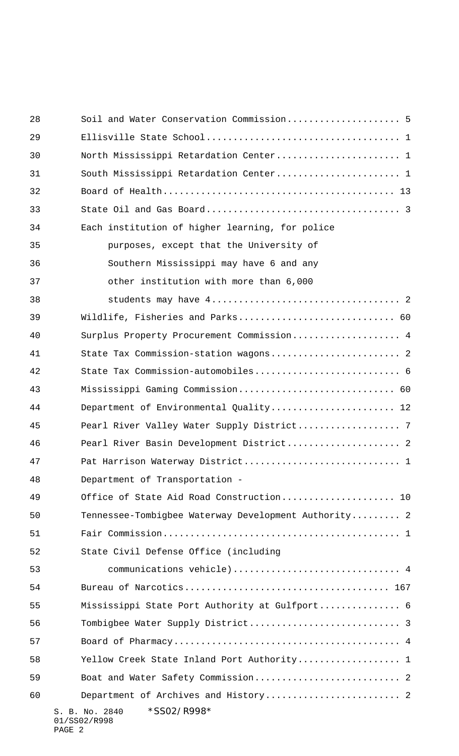| 28 | Soil and Water Conservation Commission 5                |
|----|---------------------------------------------------------|
| 29 |                                                         |
| 30 | North Mississippi Retardation Center 1                  |
| 31 | South Mississippi Retardation Center 1                  |
| 32 |                                                         |
| 33 |                                                         |
| 34 | Each institution of higher learning, for police         |
| 35 | purposes, except that the University of                 |
| 36 | Southern Mississippi may have 6 and any                 |
| 37 | other institution with more than 6,000                  |
| 38 |                                                         |
| 39 | Wildlife, Fisheries and Parks 60                        |
| 40 | Surplus Property Procurement Commission 4               |
| 41 | State Tax Commission-station wagons 2                   |
| 42 | State Tax Commission-automobiles 6                      |
| 43 | Mississippi Gaming Commission 60                        |
| 44 | Department of Environmental Quality 12                  |
| 45 | Pearl River Valley Water Supply District 7              |
| 46 | Pearl River Basin Development District 2                |
| 47 | Pat Harrison Waterway District 1                        |
| 48 | Department of Transportation -                          |
| 49 | Office of State Aid Road Construction 10                |
| 50 | Tennessee-Tombigbee Waterway Development Authority 2    |
| 51 |                                                         |
| 52 | State Civil Defense Office (including                   |
| 53 | communications vehicle)  4                              |
| 54 |                                                         |
| 55 | Mississippi State Port Authority at Gulfport 6          |
| 56 |                                                         |
| 57 |                                                         |
| 58 | Yellow Creek State Inland Port Authority 1              |
| 59 | Boat and Water Safety Commission 2                      |
| 60 | Department of Archives and History 2                    |
|    | *SS02/R998*<br>S. B. No. 2840<br>01/SS02/R998<br>PAGE 2 |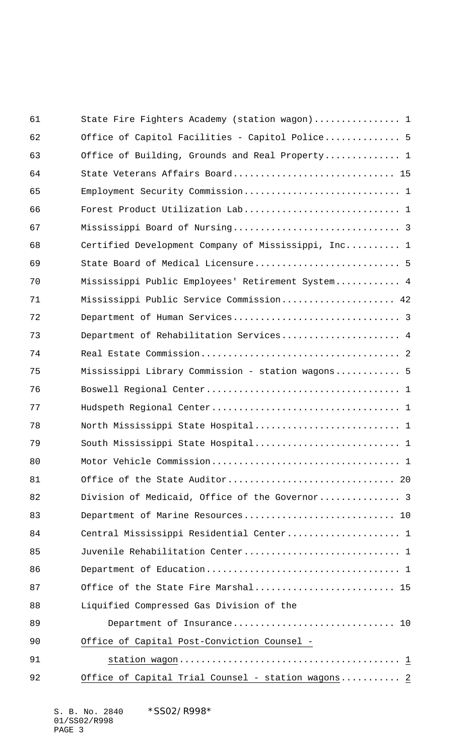| 61 | State Fire Fighters Academy (station wagon) 1       |
|----|-----------------------------------------------------|
| 62 | Office of Capitol Facilities - Capitol Police 5     |
| 63 | Office of Building, Grounds and Real Property 1     |
| 64 | State Veterans Affairs Board 15                     |
| 65 |                                                     |
| 66 |                                                     |
| 67 |                                                     |
| 68 | Certified Development Company of Mississippi, Inc 1 |
| 69 |                                                     |
| 70 | Mississippi Public Employees' Retirement System 4   |
| 71 | Mississippi Public Service Commission 42            |
| 72 |                                                     |
| 73 | Department of Rehabilitation Services 4             |
| 74 |                                                     |
| 75 | Mississippi Library Commission - station wagons 5   |
| 76 |                                                     |
| 77 |                                                     |
| 78 |                                                     |
| 79 |                                                     |
| 80 |                                                     |
| 81 |                                                     |
| 82 | Division of Medicaid, Office of the Governor 3      |
| 83 | Department of Marine Resources 10                   |
| 84 | Central Mississippi Residential Center 1            |
| 85 | Juvenile Rehabilitation Center 1                    |
| 86 |                                                     |
| 87 | Office of the State Fire Marshal 15                 |
| 88 | Liquified Compressed Gas Division of the            |
| 89 | Department of Insurance 10                          |
| 90 | Office of Capital Post-Conviction Counsel -         |
| 91 |                                                     |
| 92 | Office of Capital Trial Counsel - station wagons 2  |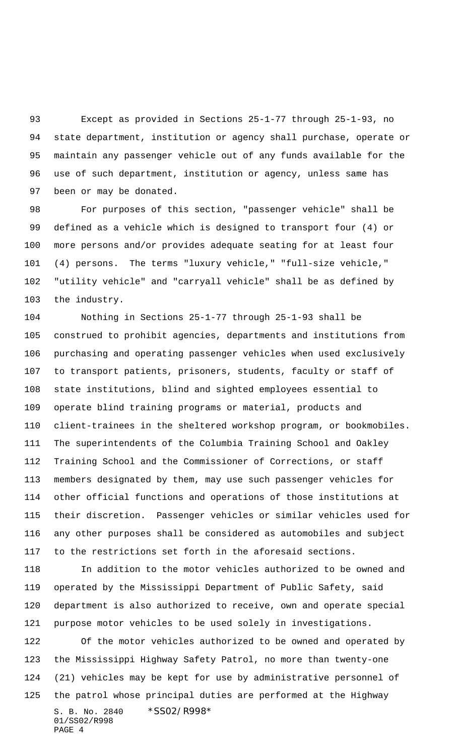Except as provided in Sections 25-1-77 through 25-1-93, no state department, institution or agency shall purchase, operate or maintain any passenger vehicle out of any funds available for the use of such department, institution or agency, unless same has been or may be donated.

 For purposes of this section, "passenger vehicle" shall be defined as a vehicle which is designed to transport four (4) or more persons and/or provides adequate seating for at least four (4) persons. The terms "luxury vehicle," "full-size vehicle," "utility vehicle" and "carryall vehicle" shall be as defined by the industry.

 Nothing in Sections 25-1-77 through 25-1-93 shall be construed to prohibit agencies, departments and institutions from purchasing and operating passenger vehicles when used exclusively to transport patients, prisoners, students, faculty or staff of state institutions, blind and sighted employees essential to operate blind training programs or material, products and client-trainees in the sheltered workshop program, or bookmobiles. The superintendents of the Columbia Training School and Oakley Training School and the Commissioner of Corrections, or staff members designated by them, may use such passenger vehicles for other official functions and operations of those institutions at their discretion. Passenger vehicles or similar vehicles used for any other purposes shall be considered as automobiles and subject to the restrictions set forth in the aforesaid sections.

 In addition to the motor vehicles authorized to be owned and operated by the Mississippi Department of Public Safety, said department is also authorized to receive, own and operate special purpose motor vehicles to be used solely in investigations.

S. B. No. 2840 \* SS02/R998\* 01/SS02/R998 Of the motor vehicles authorized to be owned and operated by the Mississippi Highway Safety Patrol, no more than twenty-one (21) vehicles may be kept for use by administrative personnel of the patrol whose principal duties are performed at the Highway

```
PAGE 4
```